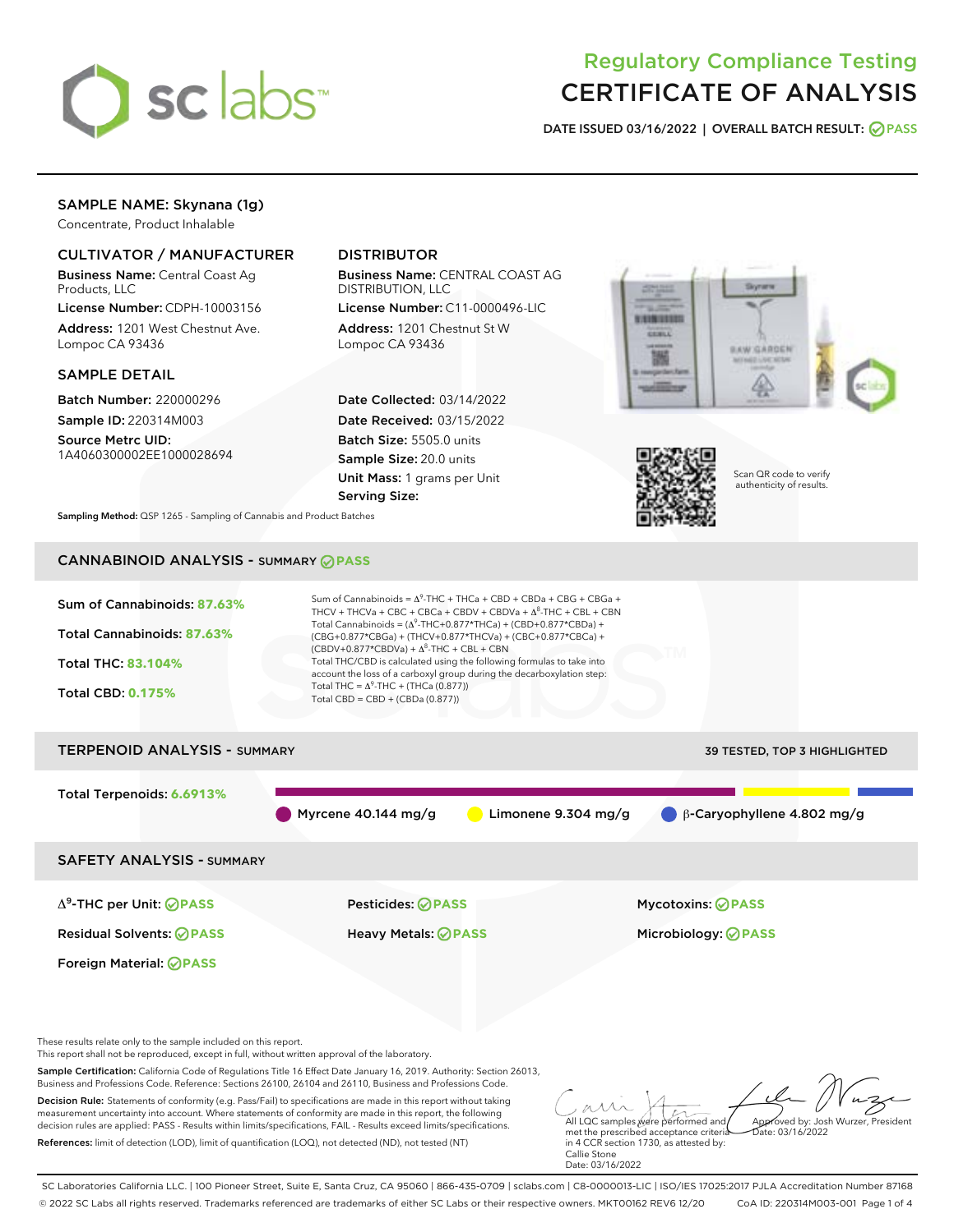

# Regulatory Compliance Testing CERTIFICATE OF ANALYSIS

DATE ISSUED 03/16/2022 | OVERALL BATCH RESULT: @ PASS

# SAMPLE NAME: Skynana (1g)

Concentrate, Product Inhalable

# CULTIVATOR / MANUFACTURER

Business Name: Central Coast Ag Products, LLC

License Number: CDPH-10003156 Address: 1201 West Chestnut Ave. Lompoc CA 93436

#### SAMPLE DETAIL

Batch Number: 220000296 Sample ID: 220314M003

Source Metrc UID: 1A4060300002EE1000028694

# DISTRIBUTOR

Business Name: CENTRAL COAST AG DISTRIBUTION, LLC

License Number: C11-0000496-LIC Address: 1201 Chestnut St W Lompoc CA 93436

Date Collected: 03/14/2022 Date Received: 03/15/2022 Batch Size: 5505.0 units Sample Size: 20.0 units Unit Mass: 1 grams per Unit Serving Size:





Scan QR code to verify authenticity of results.

Sampling Method: QSP 1265 - Sampling of Cannabis and Product Batches

# CANNABINOID ANALYSIS - SUMMARY **PASS**



SC Laboratories California LLC. | 100 Pioneer Street, Suite E, Santa Cruz, CA 95060 | 866-435-0709 | sclabs.com | C8-0000013-LIC | ISO/IES 17025:2017 PJLA Accreditation Number 87168 © 2022 SC Labs all rights reserved. Trademarks referenced are trademarks of either SC Labs or their respective owners. MKT00162 REV6 12/20 CoA ID: 220314M003-001 Page 1 of 4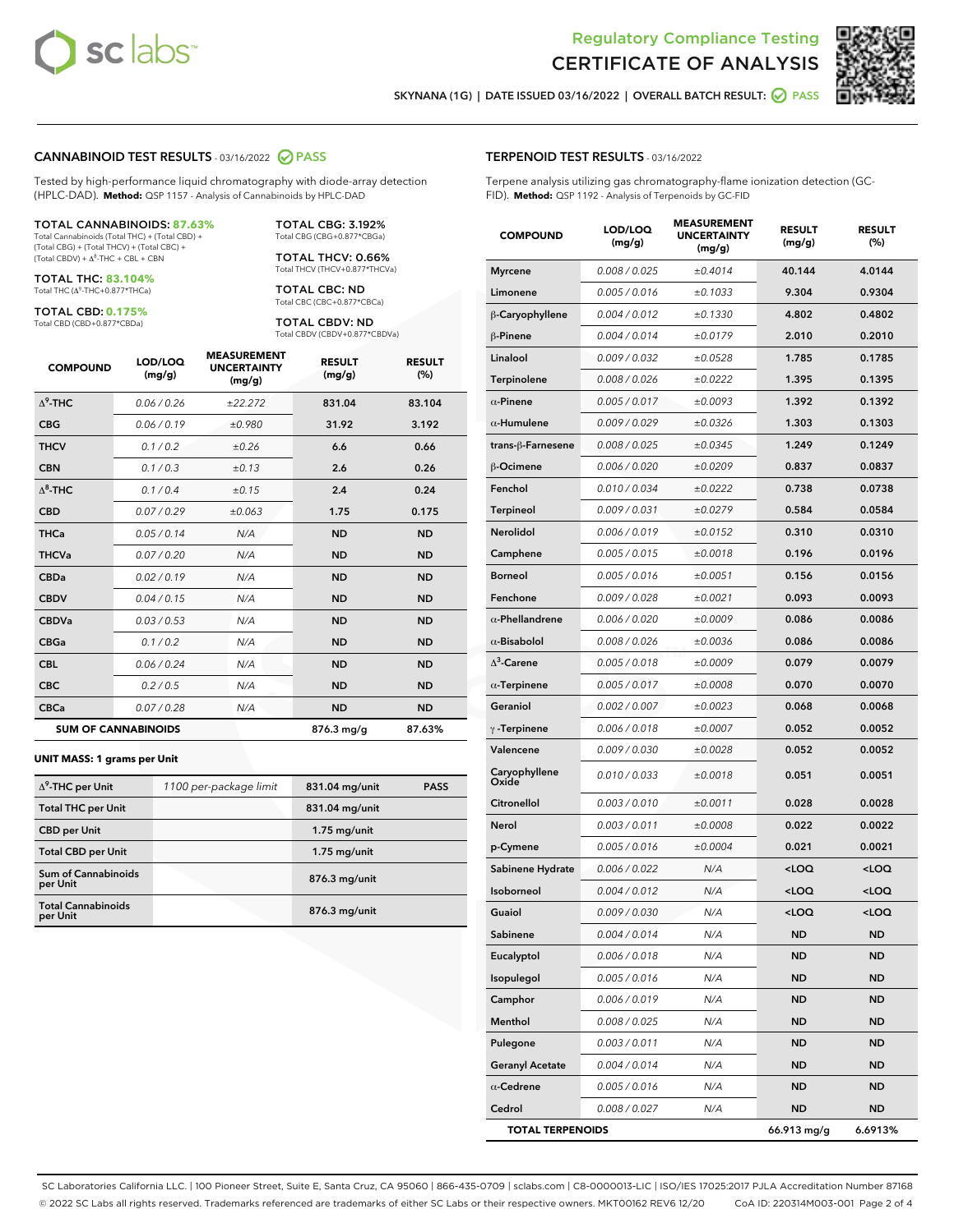



SKYNANA (1G) | DATE ISSUED 03/16/2022 | OVERALL BATCH RESULT: 0 PASS

## CANNABINOID TEST RESULTS - 03/16/2022 2 PASS

Tested by high-performance liquid chromatography with diode-array detection (HPLC-DAD). **Method:** QSP 1157 - Analysis of Cannabinoids by HPLC-DAD

#### TOTAL CANNABINOIDS: **87.63%**

Total Cannabinoids (Total THC) + (Total CBD) + (Total CBG) + (Total THCV) + (Total CBC) +  $(Total CBDV) +  $\Delta^8$ -THC + CBL + CBN$ 

TOTAL THC: **83.104%** Total THC (Δ<sup>9</sup> -THC+0.877\*THCa)

TOTAL CBD: **0.175%**

Total CBD (CBD+0.877\*CBDa)

TOTAL CBG: 3.192% Total CBG (CBG+0.877\*CBGa)

TOTAL THCV: 0.66% Total THCV (THCV+0.877\*THCVa)

TOTAL CBC: ND Total CBC (CBC+0.877\*CBCa)

TOTAL CBDV: ND Total CBDV (CBDV+0.877\*CBDVa)

| <b>COMPOUND</b>  | LOD/LOQ<br>(mg/g)          | <b>MEASUREMENT</b><br><b>UNCERTAINTY</b><br>(mg/g) | <b>RESULT</b><br>(mg/g) | <b>RESULT</b><br>(%) |
|------------------|----------------------------|----------------------------------------------------|-------------------------|----------------------|
| $\Lambda^9$ -THC | 0.06 / 0.26                | ±22.272                                            | 831.04                  | 83.104               |
| <b>CBG</b>       | 0.06 / 0.19                | ±0.980                                             | 31.92                   | 3.192                |
| <b>THCV</b>      | 0.1 / 0.2                  | ±0.26                                              | 6.6                     | 0.66                 |
| <b>CBN</b>       | 0.1/0.3                    | ±0.13                                              | 2.6                     | 0.26                 |
| $\Delta^8$ -THC  | 0.1 / 0.4                  | ±0.15                                              | 2.4                     | 0.24                 |
| <b>CBD</b>       | 0.07/0.29                  | ±0.063                                             | 1.75                    | 0.175                |
| <b>THCa</b>      | 0.05/0.14                  | N/A                                                | <b>ND</b>               | <b>ND</b>            |
| <b>THCVa</b>     | 0.07/0.20                  | N/A                                                | <b>ND</b>               | <b>ND</b>            |
| <b>CBDa</b>      | 0.02/0.19                  | N/A                                                | <b>ND</b>               | <b>ND</b>            |
| <b>CBDV</b>      | 0.04 / 0.15                | N/A                                                | <b>ND</b>               | <b>ND</b>            |
| <b>CBDVa</b>     | 0.03 / 0.53                | N/A                                                | <b>ND</b>               | <b>ND</b>            |
| <b>CBGa</b>      | 0.1/0.2                    | N/A                                                | <b>ND</b>               | <b>ND</b>            |
| <b>CBL</b>       | 0.06 / 0.24                | N/A                                                | <b>ND</b>               | <b>ND</b>            |
| <b>CBC</b>       | 0.2 / 0.5                  | N/A                                                | <b>ND</b>               | <b>ND</b>            |
| <b>CBCa</b>      | 0.07/0.28                  | N/A                                                | <b>ND</b>               | <b>ND</b>            |
|                  | <b>SUM OF CANNABINOIDS</b> |                                                    | 876.3 mg/g              | 87.63%               |

#### **UNIT MASS: 1 grams per Unit**

| $\Delta^9$ -THC per Unit              | 1100 per-package limit | 831.04 mg/unit | <b>PASS</b> |
|---------------------------------------|------------------------|----------------|-------------|
| <b>Total THC per Unit</b>             |                        | 831.04 mg/unit |             |
| <b>CBD</b> per Unit                   |                        | $1.75$ mg/unit |             |
| <b>Total CBD per Unit</b>             |                        | $1.75$ mg/unit |             |
| Sum of Cannabinoids<br>per Unit       |                        | 876.3 mg/unit  |             |
| <b>Total Cannabinoids</b><br>per Unit |                        | 876.3 mg/unit  |             |

| <b>COMPOUND</b>         | LOD/LOQ<br>(mg/g) | <b>MEASUREMENT</b><br><b>UNCERTAINTY</b><br>(mg/g) | <b>RESULT</b><br>(mg/g)                         | <b>RESULT</b><br>(%) |
|-------------------------|-------------------|----------------------------------------------------|-------------------------------------------------|----------------------|
| <b>Myrcene</b>          | 0.008 / 0.025     | ±0.4014                                            | 40.144                                          | 4.0144               |
| Limonene                | 0.005 / 0.016     | ±0.1033                                            | 9.304                                           | 0.9304               |
| β-Caryophyllene         | 0.004 / 0.012     | ±0.1330                                            | 4.802                                           | 0.4802               |
| $\beta$ -Pinene         | 0.004 / 0.014     | ±0.0179                                            | 2.010                                           | 0.2010               |
| Linalool                | 0.009 / 0.032     | ±0.0528                                            | 1.785                                           | 0.1785               |
| Terpinolene             | 0.008 / 0.026     | ±0.0222                                            | 1.395                                           | 0.1395               |
| $\alpha$ -Pinene        | 0.005 / 0.017     | ±0.0093                                            | 1.392                                           | 0.1392               |
| $\alpha$ -Humulene      | 0.009/0.029       | ±0.0326                                            | 1.303                                           | 0.1303               |
| trans-ß-Farnesene       | 0.008 / 0.025     | ±0.0345                                            | 1.249                                           | 0.1249               |
| $\beta$ -Ocimene        | 0.006 / 0.020     | ±0.0209                                            | 0.837                                           | 0.0837               |
| Fenchol                 | 0.010 / 0.034     | ±0.0222                                            | 0.738                                           | 0.0738               |
| <b>Terpineol</b>        | 0.009 / 0.031     | ±0.0279                                            | 0.584                                           | 0.0584               |
| Nerolidol               | 0.006 / 0.019     | ±0.0152                                            | 0.310                                           | 0.0310               |
| Camphene                | 0.005 / 0.015     | ±0.0018                                            | 0.196                                           | 0.0196               |
| <b>Borneol</b>          | 0.005 / 0.016     | ±0.0051                                            | 0.156                                           | 0.0156               |
| Fenchone                | 0.009 / 0.028     | ±0.0021                                            | 0.093                                           | 0.0093               |
| $\alpha$ -Phellandrene  | 0.006 / 0.020     | ±0.0009                                            | 0.086                                           | 0.0086               |
| $\alpha$ -Bisabolol     | 0.008 / 0.026     | ±0.0036                                            | 0.086                                           | 0.0086               |
| $\Delta^3$ -Carene      | 0.005 / 0.018     | ±0.0009                                            | 0.079                                           | 0.0079               |
| $\alpha$ -Terpinene     | 0.005 / 0.017     | ±0.0008                                            | 0.070                                           | 0.0070               |
| Geraniol                | 0.002 / 0.007     | ±0.0023                                            | 0.068                                           | 0.0068               |
| $\gamma$ -Terpinene     | 0.006 / 0.018     | ±0.0007                                            | 0.052                                           | 0.0052               |
| Valencene               | 0.009 / 0.030     | ±0.0028                                            | 0.052                                           | 0.0052               |
| Caryophyllene<br>Oxide  | 0.010 / 0.033     | ±0.0018                                            | 0.051                                           | 0.0051               |
| Citronellol             | 0.003 / 0.010     | ±0.0011                                            | 0.028                                           | 0.0028               |
| Nerol                   | 0.003 / 0.011     | ±0.0008                                            | 0.022                                           | 0.0022               |
| p-Cymene                | 0.005 / 0.016     | ±0.0004                                            | 0.021                                           | 0.0021               |
| Sabinene Hydrate        | 0.006 / 0.022     | N/A                                                | <loq< th=""><th><loq< th=""></loq<></th></loq<> | <loq< th=""></loq<>  |
| Isoborneol              | 0.004 / 0.012     | N/A                                                | <loq< th=""><th><loq< th=""></loq<></th></loq<> | <loq< th=""></loq<>  |
| Guaiol                  | 0.009 / 0.030     | N/A                                                | <loq< th=""><th><loq< th=""></loq<></th></loq<> | <loq< th=""></loq<>  |
| Sabinene                | 0.004 / 0.014     | N/A                                                | ND                                              | ND                   |
| Eucalyptol              | 0.006 / 0.018     | N/A                                                | ND.                                             | ND                   |
| Isopulegol              | 0.005 / 0.016     | N/A                                                | <b>ND</b>                                       | ND                   |
| Camphor                 | 0.006 / 0.019     | N/A                                                | <b>ND</b>                                       | ND                   |
| Menthol                 | 0.008 / 0.025     | N/A                                                | ND                                              | ND                   |
| Pulegone                | 0.003 / 0.011     | N/A                                                | <b>ND</b>                                       | ND                   |
| <b>Geranyl Acetate</b>  | 0.004 / 0.014     | N/A                                                | <b>ND</b>                                       | ND                   |
| $\alpha$ -Cedrene       | 0.005 / 0.016     | N/A                                                | ND                                              | ND                   |
| Cedrol                  | 0.008 / 0.027     | N/A                                                | <b>ND</b>                                       | ND                   |
| <b>TOTAL TERPENOIDS</b> |                   |                                                    | 66.913 mg/g                                     | 6.6913%              |

SC Laboratories California LLC. | 100 Pioneer Street, Suite E, Santa Cruz, CA 95060 | 866-435-0709 | sclabs.com | C8-0000013-LIC | ISO/IES 17025:2017 PJLA Accreditation Number 87168 © 2022 SC Labs all rights reserved. Trademarks referenced are trademarks of either SC Labs or their respective owners. MKT00162 REV6 12/20 CoA ID: 220314M003-001 Page 2 of 4

# TERPENOID TEST RESULTS - 03/16/2022

Terpene analysis utilizing gas chromatography-flame ionization detection (GC-FID). **Method:** QSP 1192 - Analysis of Terpenoids by GC-FID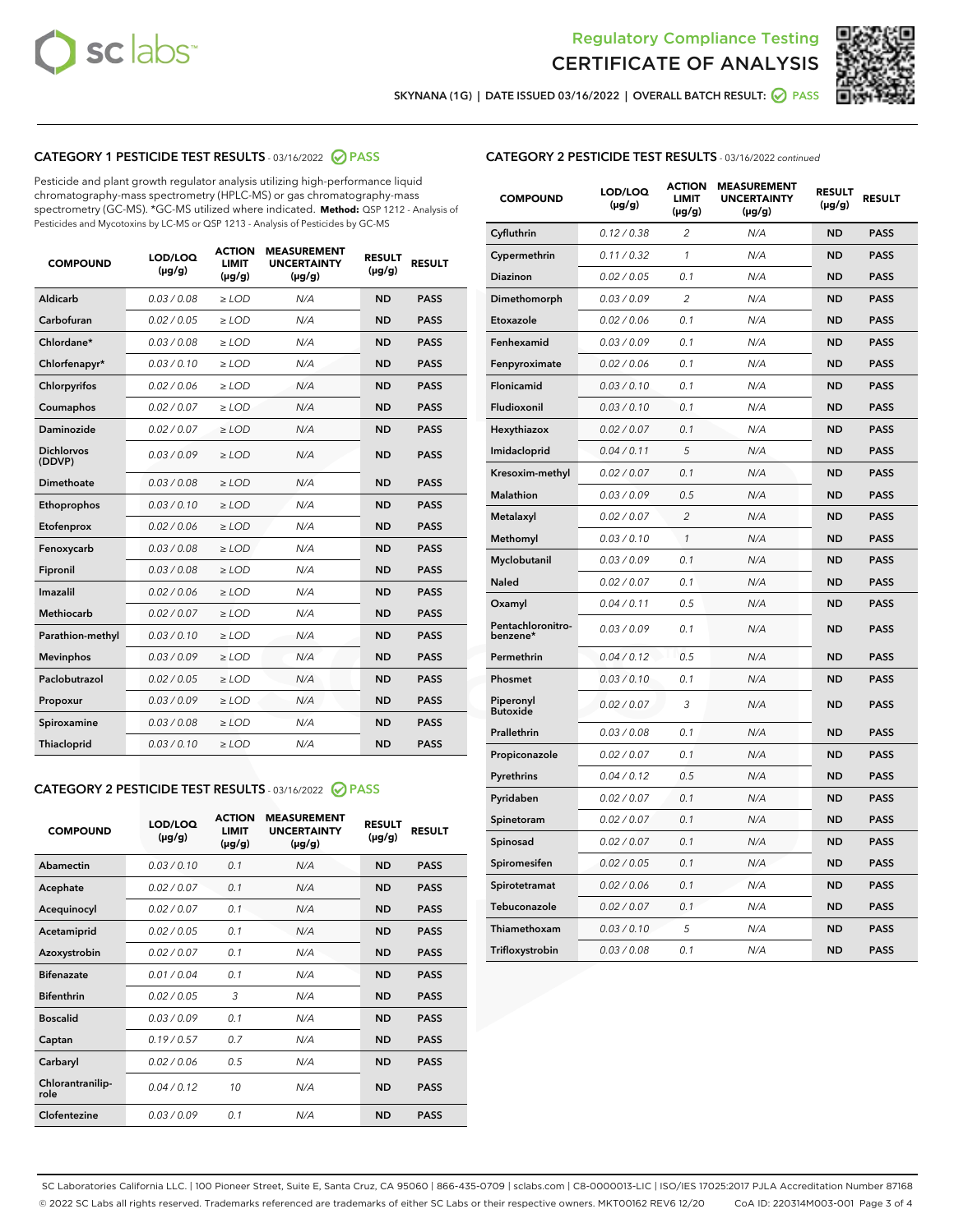



SKYNANA (1G) | DATE ISSUED 03/16/2022 | OVERALL BATCH RESULT: O PASS

# CATEGORY 1 PESTICIDE TEST RESULTS - 03/16/2022 2 PASS

Pesticide and plant growth regulator analysis utilizing high-performance liquid chromatography-mass spectrometry (HPLC-MS) or gas chromatography-mass spectrometry (GC-MS). \*GC-MS utilized where indicated. **Method:** QSP 1212 - Analysis of Pesticides and Mycotoxins by LC-MS or QSP 1213 - Analysis of Pesticides by GC-MS

| <b>COMPOUND</b>             | LOD/LOQ<br>$(\mu g/g)$ | <b>ACTION</b><br>LIMIT<br>$(\mu g/g)$ | <b>MEASUREMENT</b><br><b>UNCERTAINTY</b><br>$(\mu g/g)$ | <b>RESULT</b><br>$(\mu g/g)$ | <b>RESULT</b> |
|-----------------------------|------------------------|---------------------------------------|---------------------------------------------------------|------------------------------|---------------|
| Aldicarb                    | 0.03 / 0.08            | $\ge$ LOD                             | N/A                                                     | <b>ND</b>                    | <b>PASS</b>   |
| Carbofuran                  | 0.02 / 0.05            | $>$ LOD                               | N/A                                                     | <b>ND</b>                    | <b>PASS</b>   |
| Chlordane*                  | 0.03/0.08              | $>$ LOD                               | N/A                                                     | <b>ND</b>                    | <b>PASS</b>   |
| Chlorfenapyr*               | 0.03/0.10              | $>$ LOD                               | N/A                                                     | <b>ND</b>                    | <b>PASS</b>   |
| Chlorpyrifos                | 0.02 / 0.06            | $\ge$ LOD                             | N/A                                                     | <b>ND</b>                    | <b>PASS</b>   |
| Coumaphos                   | 0.02 / 0.07            | $\ge$ LOD                             | N/A                                                     | <b>ND</b>                    | <b>PASS</b>   |
| Daminozide                  | 0.02 / 0.07            | $>$ LOD                               | N/A                                                     | <b>ND</b>                    | <b>PASS</b>   |
| <b>Dichlorvos</b><br>(DDVP) | 0.03/0.09              | $>$ LOD                               | N/A                                                     | <b>ND</b>                    | <b>PASS</b>   |
| Dimethoate                  | 0.03 / 0.08            | $\ge$ LOD                             | N/A                                                     | <b>ND</b>                    | <b>PASS</b>   |
| Ethoprophos                 | 0.03/0.10              | $\ge$ LOD                             | N/A                                                     | <b>ND</b>                    | <b>PASS</b>   |
| Etofenprox                  | 0.02 / 0.06            | $\ge$ LOD                             | N/A                                                     | <b>ND</b>                    | <b>PASS</b>   |
| Fenoxycarb                  | 0.03 / 0.08            | $\ge$ LOD                             | N/A                                                     | <b>ND</b>                    | <b>PASS</b>   |
| Fipronil                    | 0.03 / 0.08            | $\ge$ LOD                             | N/A                                                     | <b>ND</b>                    | <b>PASS</b>   |
| Imazalil                    | 0.02/0.06              | $>$ LOD                               | N/A                                                     | <b>ND</b>                    | <b>PASS</b>   |
| <b>Methiocarb</b>           | 0.02 / 0.07            | $\ge$ LOD                             | N/A                                                     | <b>ND</b>                    | <b>PASS</b>   |
| Parathion-methyl            | 0.03/0.10              | $\ge$ LOD                             | N/A                                                     | <b>ND</b>                    | <b>PASS</b>   |
| <b>Mevinphos</b>            | 0.03/0.09              | $>$ LOD                               | N/A                                                     | <b>ND</b>                    | <b>PASS</b>   |
| Paclobutrazol               | 0.02 / 0.05            | $>$ LOD                               | N/A                                                     | <b>ND</b>                    | <b>PASS</b>   |
| Propoxur                    | 0.03/0.09              | $\geq$ LOD                            | N/A                                                     | <b>ND</b>                    | <b>PASS</b>   |
| Spiroxamine                 | 0.03 / 0.08            | $\geq$ LOD                            | N/A                                                     | <b>ND</b>                    | <b>PASS</b>   |
| Thiacloprid                 | 0.03/0.10              | $>$ LOD                               | N/A                                                     | <b>ND</b>                    | <b>PASS</b>   |
|                             |                        |                                       |                                                         |                              |               |

# CATEGORY 2 PESTICIDE TEST RESULTS - 03/16/2022 @ PASS

| <b>COMPOUND</b>          | LOD/LOO<br>$(\mu g/g)$ | <b>ACTION</b><br>LIMIT<br>$(\mu g/g)$ | <b>MEASUREMENT</b><br><b>UNCERTAINTY</b><br>$(\mu g/g)$ | <b>RESULT</b><br>$(\mu g/g)$ | <b>RESULT</b> |
|--------------------------|------------------------|---------------------------------------|---------------------------------------------------------|------------------------------|---------------|
| Abamectin                | 0.03/0.10              | 0.1                                   | N/A                                                     | <b>ND</b>                    | <b>PASS</b>   |
| Acephate                 | 0.02/0.07              | 0.1                                   | N/A                                                     | <b>ND</b>                    | <b>PASS</b>   |
| Acequinocyl              | 0.02/0.07              | 0.1                                   | N/A                                                     | <b>ND</b>                    | <b>PASS</b>   |
| Acetamiprid              | 0.02/0.05              | 0.1                                   | N/A                                                     | <b>ND</b>                    | <b>PASS</b>   |
| Azoxystrobin             | 0.02/0.07              | 0.1                                   | N/A                                                     | <b>ND</b>                    | <b>PASS</b>   |
| <b>Bifenazate</b>        | 0.01/0.04              | 0.1                                   | N/A                                                     | <b>ND</b>                    | <b>PASS</b>   |
| <b>Bifenthrin</b>        | 0.02 / 0.05            | 3                                     | N/A                                                     | <b>ND</b>                    | <b>PASS</b>   |
| <b>Boscalid</b>          | 0.03/0.09              | 0.1                                   | N/A                                                     | <b>ND</b>                    | <b>PASS</b>   |
| Captan                   | 0.19/0.57              | 0.7                                   | N/A                                                     | <b>ND</b>                    | <b>PASS</b>   |
| Carbaryl                 | 0.02/0.06              | 0.5                                   | N/A                                                     | <b>ND</b>                    | <b>PASS</b>   |
| Chlorantranilip-<br>role | 0.04/0.12              | 10                                    | N/A                                                     | <b>ND</b>                    | <b>PASS</b>   |
| Clofentezine             | 0.03/0.09              | 0.1                                   | N/A                                                     | <b>ND</b>                    | <b>PASS</b>   |

# CATEGORY 2 PESTICIDE TEST RESULTS - 03/16/2022 continued

| <b>COMPOUND</b>               | LOD/LOQ<br>(µg/g) | <b>ACTION</b><br>LIMIT<br>(µg/g) | <b>MEASUREMENT</b><br><b>UNCERTAINTY</b><br>(µg/g) | <b>RESULT</b><br>(µg/g) | <b>RESULT</b> |
|-------------------------------|-------------------|----------------------------------|----------------------------------------------------|-------------------------|---------------|
| Cyfluthrin                    | 0.12 / 0.38       | 2                                | N/A                                                | <b>ND</b>               | <b>PASS</b>   |
| Cypermethrin                  | 0.11 / 0.32       | $\mathcal{I}$                    | N/A                                                | <b>ND</b>               | <b>PASS</b>   |
| <b>Diazinon</b>               | 0.02 / 0.05       | 0.1                              | N/A                                                | ND                      | <b>PASS</b>   |
| Dimethomorph                  | 0.03 / 0.09       | 2                                | N/A                                                | <b>ND</b>               | <b>PASS</b>   |
| Etoxazole                     | 0.02 / 0.06       | 0.1                              | N/A                                                | <b>ND</b>               | <b>PASS</b>   |
| Fenhexamid                    | 0.03 / 0.09       | 0.1                              | N/A                                                | <b>ND</b>               | <b>PASS</b>   |
| Fenpyroximate                 | 0.02 / 0.06       | 0.1                              | N/A                                                | ND                      | <b>PASS</b>   |
| Flonicamid                    | 0.03 / 0.10       | 0.1                              | N/A                                                | <b>ND</b>               | <b>PASS</b>   |
| Fludioxonil                   | 0.03 / 0.10       | 0.1                              | N/A                                                | ND                      | <b>PASS</b>   |
| Hexythiazox                   | 0.02 / 0.07       | 0.1                              | N/A                                                | <b>ND</b>               | <b>PASS</b>   |
| Imidacloprid                  | 0.04 / 0.11       | 5                                | N/A                                                | <b>ND</b>               | <b>PASS</b>   |
| Kresoxim-methyl               | 0.02 / 0.07       | 0.1                              | N/A                                                | <b>ND</b>               | <b>PASS</b>   |
| Malathion                     | 0.03 / 0.09       | 0.5                              | N/A                                                | <b>ND</b>               | <b>PASS</b>   |
| Metalaxyl                     | 0.02 / 0.07       | $\overline{c}$                   | N/A                                                | <b>ND</b>               | <b>PASS</b>   |
| Methomyl                      | 0.03 / 0.10       | $\mathcal{I}$                    | N/A                                                | <b>ND</b>               | <b>PASS</b>   |
| Myclobutanil                  | 0.03 / 0.09       | 0.1                              | N/A                                                | <b>ND</b>               | <b>PASS</b>   |
| Naled                         | 0.02 / 0.07       | 0.1                              | N/A                                                | <b>ND</b>               | <b>PASS</b>   |
| Oxamyl                        | 0.04 / 0.11       | 0.5                              | N/A                                                | <b>ND</b>               | <b>PASS</b>   |
| Pentachloronitro-<br>benzene* | 0.03 / 0.09       | 0.1                              | N/A                                                | <b>ND</b>               | <b>PASS</b>   |
| Permethrin                    | 0.04 / 0.12       | 0.5                              | N/A                                                | <b>ND</b>               | <b>PASS</b>   |
| Phosmet                       | 0.03 / 0.10       | 0.1                              | N/A                                                | <b>ND</b>               | <b>PASS</b>   |
| Piperonyl<br><b>Butoxide</b>  | 0.02 / 0.07       | 3                                | N/A                                                | <b>ND</b>               | <b>PASS</b>   |
| Prallethrin                   | 0.03 / 0.08       | 0.1                              | N/A                                                | <b>ND</b>               | <b>PASS</b>   |
| Propiconazole                 | 0.02 / 0.07       | 0.1                              | N/A                                                | ND                      | <b>PASS</b>   |
| Pyrethrins                    | 0.04 / 0.12       | 0.5                              | N/A                                                | <b>ND</b>               | <b>PASS</b>   |
| Pyridaben                     | 0.02 / 0.07       | 0.1                              | N/A                                                | <b>ND</b>               | <b>PASS</b>   |
| Spinetoram                    | 0.02 / 0.07       | 0.1                              | N/A                                                | <b>ND</b>               | <b>PASS</b>   |
| Spinosad                      | 0.02 / 0.07       | 0.1                              | N/A                                                | <b>ND</b>               | <b>PASS</b>   |
| Spiromesifen                  | 0.02 / 0.05       | 0.1                              | N/A                                                | ND                      | <b>PASS</b>   |
| Spirotetramat                 | 0.02 / 0.06       | 0.1                              | N/A                                                | <b>ND</b>               | <b>PASS</b>   |
| Tebuconazole                  | 0.02 / 0.07       | 0.1                              | N/A                                                | <b>ND</b>               | <b>PASS</b>   |
| Thiamethoxam                  | 0.03/0.10         | 5                                | N/A                                                | ND                      | <b>PASS</b>   |
| Trifloxystrobin               | 0.03 / 0.08       | 0.1                              | N/A                                                | <b>ND</b>               | <b>PASS</b>   |

SC Laboratories California LLC. | 100 Pioneer Street, Suite E, Santa Cruz, CA 95060 | 866-435-0709 | sclabs.com | C8-0000013-LIC | ISO/IES 17025:2017 PJLA Accreditation Number 87168 © 2022 SC Labs all rights reserved. Trademarks referenced are trademarks of either SC Labs or their respective owners. MKT00162 REV6 12/20 CoA ID: 220314M003-001 Page 3 of 4